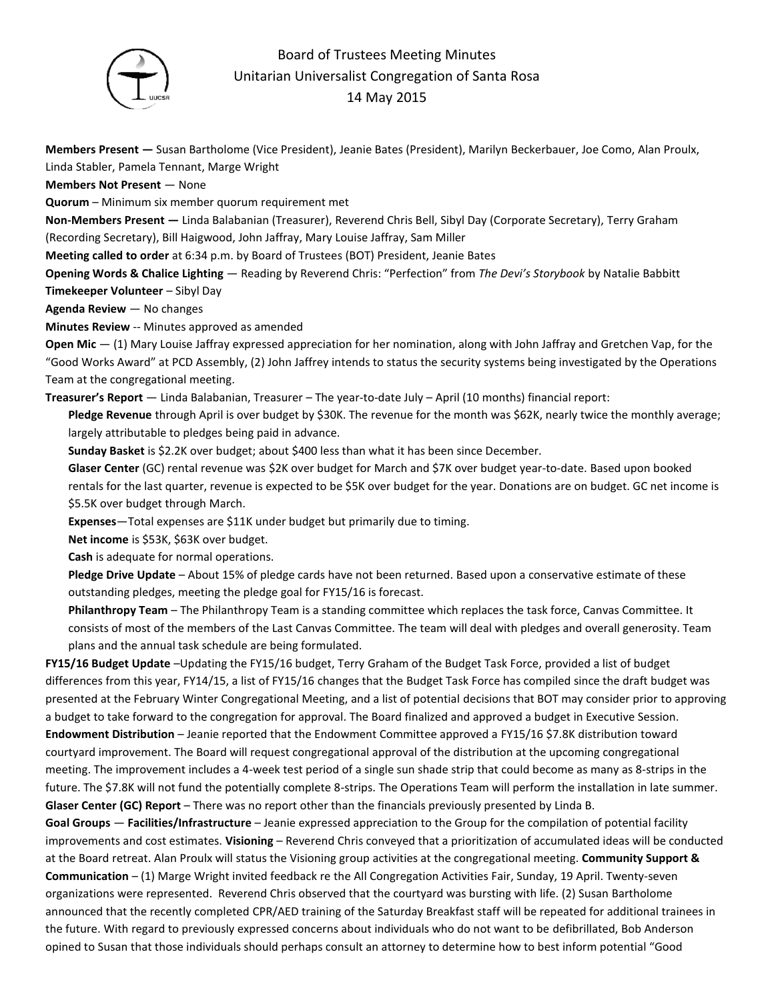

## Board of Trustees Meeting Minutes Unitarian Universalist Congregation of Santa Rosa 14 May 2015

**Members Present —** Susan Bartholome (Vice President), Jeanie Bates (President), Marilyn Beckerbauer, Joe Como, Alan Proulx, Linda Stabler, Pamela Tennant, Marge Wright

**Members Not Present** — None

**Quorum** – Minimum six member quorum requirement met

**Non-Members Present —** Linda Balabanian (Treasurer), Reverend Chris Bell, Sibyl Day (Corporate Secretary), Terry Graham (Recording Secretary), Bill Haigwood, John Jaffray, Mary Louise Jaffray, Sam Miller

**Meeting called to order** at 6:34 p.m. by Board of Trustees (BOT) President, Jeanie Bates

**Opening Words & Chalice Lighting** — Reading by Reverend Chris: "Perfection" from *The Devi's Storybook* by Natalie Babbitt

**Timekeeper Volunteer** – Sibyl Day

**Agenda Review** — No changes

**Minutes Review** -- Minutes approved as amended

**Open Mic** — (1) Mary Louise Jaffray expressed appreciation for her nomination, along with John Jaffray and Gretchen Vap, for the "Good Works Award" at PCD Assembly, (2) John Jaffrey intends to status the security systems being investigated by the Operations Team at the congregational meeting.

**Treasurer's Report** — Linda Balabanian, Treasurer – The year-to-date July – April (10 months) financial report:

**Pledge Revenue** through April is over budget by \$30K. The revenue for the month was \$62K, nearly twice the monthly average; largely attributable to pledges being paid in advance.

**Sunday Basket** is \$2.2K over budget; about \$400 less than what it has been since December.

**Glaser Center** (GC) rental revenue was \$2K over budget for March and \$7K over budget year-to-date. Based upon booked rentals for the last quarter, revenue is expected to be \$5K over budget for the year. Donations are on budget. GC net income is \$5.5K over budget through March.

**Expenses**—Total expenses are \$11K under budget but primarily due to timing.

**Net income** is \$53K, \$63K over budget.

**Cash** is adequate for normal operations.

**Pledge Drive Update** – About 15% of pledge cards have not been returned. Based upon a conservative estimate of these outstanding pledges, meeting the pledge goal for FY15/16 is forecast.

**Philanthropy Team** – The Philanthropy Team is a standing committee which replaces the task force, Canvas Committee. It consists of most of the members of the Last Canvas Committee. The team will deal with pledges and overall generosity. Team plans and the annual task schedule are being formulated.

**FY15/16 Budget Update** –Updating the FY15/16 budget, Terry Graham of the Budget Task Force, provided a list of budget differences from this year, FY14/15, a list of FY15/16 changes that the Budget Task Force has compiled since the draft budget was presented at the February Winter Congregational Meeting, and a list of potential decisions that BOT may consider prior to approving a budget to take forward to the congregation for approval. The Board finalized and approved a budget in Executive Session. **Endowment Distribution** – Jeanie reported that the Endowment Committee approved a FY15/16 \$7.8K distribution toward courtyard improvement. The Board will request congregational approval of the distribution at the upcoming congregational meeting. The improvement includes a 4-week test period of a single sun shade strip that could become as many as 8-strips in the future. The \$7.8K will not fund the potentially complete 8-strips. The Operations Team will perform the installation in late summer. **Glaser Center (GC) Report** – There was no report other than the financials previously presented by Linda B.

**Goal Groups** — **Facilities/Infrastructure** – Jeanie expressed appreciation to the Group for the compilation of potential facility improvements and cost estimates. **Visioning** – Reverend Chris conveyed that a prioritization of accumulated ideas will be conducted at the Board retreat. Alan Proulx will status the Visioning group activities at the congregational meeting. **Community Support & Communication** – (1) Marge Wright invited feedback re the All Congregation Activities Fair, Sunday, 19 April. Twenty-seven organizations were represented. Reverend Chris observed that the courtyard was bursting with life. (2) Susan Bartholome announced that the recently completed CPR/AED training of the Saturday Breakfast staff will be repeated for additional trainees in the future. With regard to previously expressed concerns about individuals who do not want to be defibrillated, Bob Anderson opined to Susan that those individuals should perhaps consult an attorney to determine how to best inform potential "Good